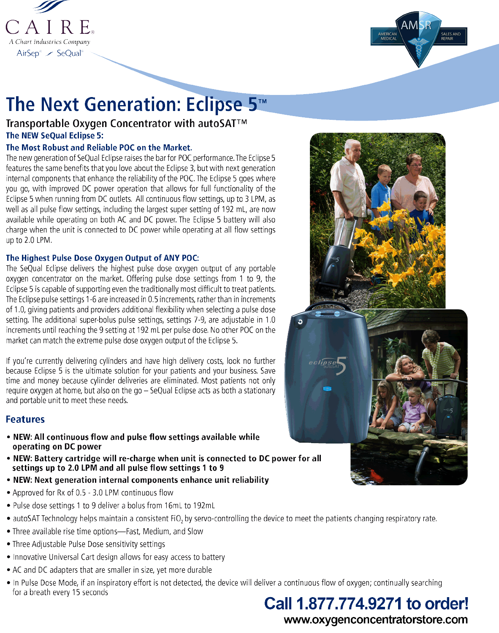CAIRE.

A Chart Industries Company

AirSep<sup>®</sup> / SeQual<sup>®</sup>

# The Next Generation: Eclipse 5™

Transportable Oxygen Concentrator with autoSAT™ The NEW SeQual Eclipse 5:

## The Most Robust and Reliable POC on the Market.

The new generation of SeQual Eclipse raises the bar for POC performance. The Eclipse 5 features the same benefits that you love about the Eclipse 3, but with next generation internal components that enhance the reliability of the POC. The Eclipse 5 goes where you go, with improved DC power operation that allows for full functionality of the Eclipse 5 when running from DC outlets. All continuous flow settings, up to 3 LPM, as well as all pulse flow settings, including the largest super setting of 192 mL, are now available while operating on both AC and DC power. The Eclipse 5 battery will also charge when the unit is connected to DC power while operating at all flow settings up to  $2.0$  LPM.



![](_page_0_Picture_8.jpeg)

# The Highest Pulse Dose Oxygen Output of ANY POC:

The SeQual Eclipse delivers the highest pulse dose oxygen output of any portable oxygen concentrator on the market. Offering pulse dose settings from 1 to 9, the Eclipse 5 is capable of supporting even the traditionally most difficult to treat patients. The Eclipse pulse settings 1-6 are increased in 0.5 increments, rather than in increments of 1.0, giving patients and providers additional flexibility when selecting a pulse dose setting. The additional super-bolus pulse settings, settings 7-9, are adjustable in 1.0 increments until reaching the 9 setting at 192 mL per pulse dose. No other POC on the market can match the extreme pulse dose oxygen output of the Eclipse 5.

If you're currently delivering cylinders and have high delivery costs, look no further because Eclipse 5 is the ultimate solution for your patients and your business. Save time and money because cylinder deliveries are eliminated. Most patients not only require oxygen at home, but also on the  $qo - SeQual$  Eclipse acts as both a stationary and portable unit to meet these needs.

# **Features**

- NEW: All continuous flow and pulse flow settings available while operating on DC power
- . NEW: Battery cartridge will re-charge when unit is connected to DC power for all settings up to 2.0 LPM and all pulse flow settings 1 to 9
- NEW: Next generation internal components enhance unit reliability
- Approved for Rx of 0.5 3.0 LPM continuous flow
- Pulse dose settings 1 to 9 deliver a bolus from 16mL to 192mL
- autoSAT Technology helps maintain a consistent FiO<sub>2</sub> by servo-controlling the device to meet the patients changing respiratory rate.
- Three available rise time options—Fast, Medium, and Slow
- Three Adjustable Pulse Dose sensitivity settings

• Innovative Universal Cart design allows for easy access to battery

• AC and DC adapters that are smaller in size, yet more durable

• In Pulse Dose Mode, if an inspiratory effort is not detected, the device will deliver a continuous flow of oxygen; continually searching for a breath every 15 seconds

Call 1.877.774.9271 to order!

www.oxygenconcentratorstore.com